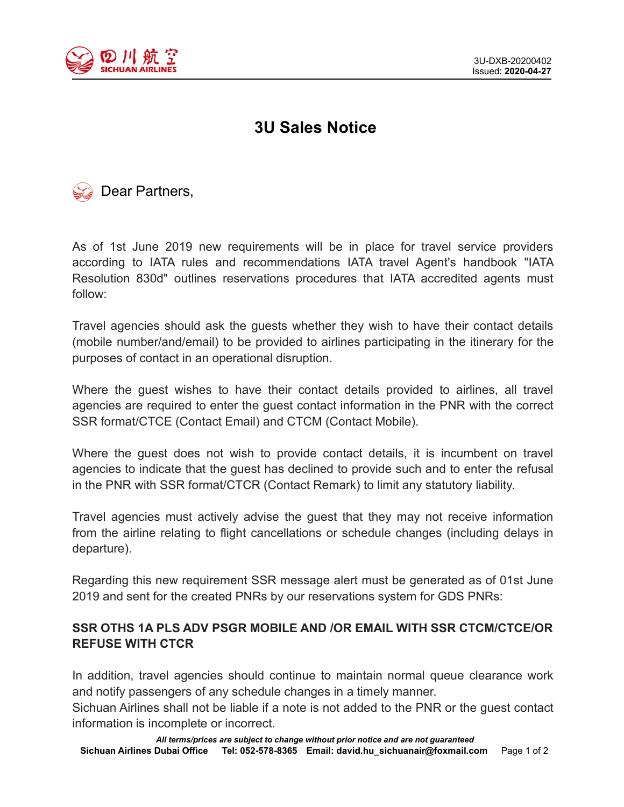

## **3U Sales Notice**



As of 1st June 2019 new requirements will be in place for travel service providers according to IATA rules and recommendations IATA travel Agent's handbook "IATA Resolution 830d" outlines reservations procedures that IATA accredited agents must follow:

Travel agencies should ask the guests whether they wish to have their contact details (mobile number/and/email) to be provided to airlines participating in the itinerary for the purposes of contact in an operational disruption.

Where the guest wishes to have their contact details provided to airlines, all travel agencies are required to enter the guest contact information in the PNR with the correct SSR format/CTCE (Contact Email) and CTCM (Contact Mobile).

Where the guest does not wish to provide contact details, it is incumbent on travel agencies to indicate that the guest has declined to provide such and to enter the refusal in the PNR with SSR format/CTCR (Contact Remark) to limit any statutory liability.

Travel agencies must actively advise the guest that they may not receive information from the airline relating to flight cancellations or schedule changes (including delays in departure).

Regarding this new requirement SSR message alert must be generated as of 01st June 2019 and sent for the created PNRs by our reservations system for GDS PNRs:

## **SSR OTHS 1A PLS ADV PSGR MOBILE AND /OR EMAIL WITH SSR CTCM/CTCE/OR REFUSE WITH CTCR**

In addition, travel agencies should continue to maintain normal queue clearance work and notify passengers of any schedule changes in a timely manner.

Sichuan Airlines shall not be liable if a note is not added to the PNR or the guest contact information is incomplete or incorrect.